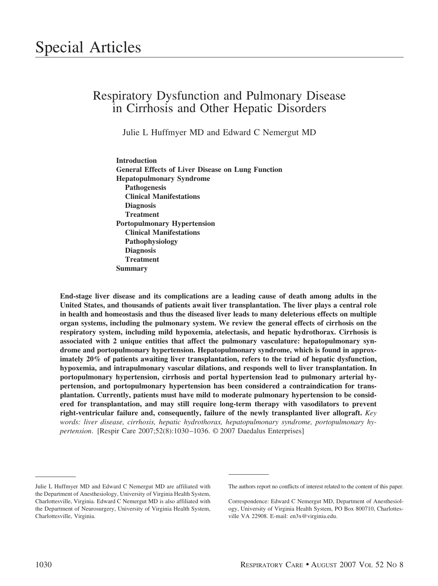# Respiratory Dysfunction and Pulmonary Disease in Cirrhosis and Other Hepatic Disorders

Julie L Huffmyer MD and Edward C Nemergut MD

**Introduction General Effects of Liver Disease on Lung Function Hepatopulmonary Syndrome Pathogenesis Clinical Manifestations Diagnosis Treatment Portopulmonary Hypertension Clinical Manifestations Pathophysiology Diagnosis Treatment Summary**

**End-stage liver disease and its complications are a leading cause of death among adults in the United States, and thousands of patients await liver transplantation. The liver plays a central role in health and homeostasis and thus the diseased liver leads to many deleterious effects on multiple organ systems, including the pulmonary system. We review the general effects of cirrhosis on the respiratory system, including mild hypoxemia, atelectasis, and hepatic hydrothorax. Cirrhosis is associated with 2 unique entities that affect the pulmonary vasculature: hepatopulmonary syndrome and portopulmonary hypertension. Hepatopulmonary syndrome, which is found in approximately 20% of patients awaiting liver transplantation, refers to the triad of hepatic dysfunction, hypoxemia, and intrapulmonary vascular dilations, and responds well to liver transplantation. In portopulmonary hypertension, cirrhosis and portal hypertension lead to pulmonary arterial hypertension, and portopulmonary hypertension has been considered a contraindication for transplantation. Currently, patients must have mild to moderate pulmonary hypertension to be considered for transplantation, and may still require long-term therapy with vasodilators to prevent right-ventricular failure and, consequently, failure of the newly transplanted liver allograft.** *Key words: liver disease, cirrhosis, hepatic hydrothorax, hepatopulmonary syndrome, portopulmonary hypertension*. [Respir Care 2007;52(8):1030–1036. © 2007 Daedalus Enterprises]

Julie L Huffmyer MD and Edward C Nemergut MD are affiliated with the Department of Anesthesiology, University of Virginia Health System, Charlottesville, Virginia. Edward C Nemergut MD is also affiliated with the Department of Neurosurgery, University of Virginia Health System, Charlottesville, Virginia.

The authors report no conflicts of interest related to the content of this paper.

Correspondence: Edward C Nemergut MD, Department of Anesthesiology, University of Virginia Health System, PO Box 800710, Charlottesville VA 22908. E-mail: en3x@virginia.edu.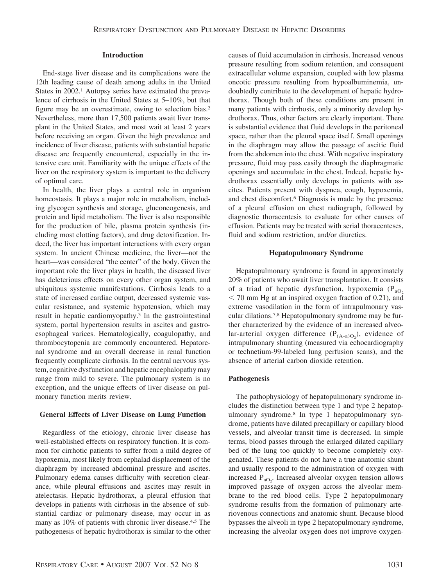#### **Introduction**

End-stage liver disease and its complications were the 12th leading cause of death among adults in the United States in 2002.<sup>1</sup> Autopsy series have estimated the prevalence of cirrhosis in the United States at 5–10%, but that figure may be an overestimate, owing to selection bias.2 Nevertheless, more than 17,500 patients await liver transplant in the United States, and most wait at least 2 years before receiving an organ. Given the high prevalence and incidence of liver disease, patients with substantial hepatic disease are frequently encountered, especially in the intensive care unit. Familiarity with the unique effects of the liver on the respiratory system is important to the delivery of optimal care.

In health, the liver plays a central role in organism homeostasis. It plays a major role in metabolism, including glycogen synthesis and storage, gluconeogenesis, and protein and lipid metabolism. The liver is also responsible for the production of bile, plasma protein synthesis (including most clotting factors), and drug detoxification. Indeed, the liver has important interactions with every organ system. In ancient Chinese medicine, the liver—not the heart—was considered "the center" of the body. Given the important role the liver plays in health, the diseased liver has deleterious effects on every other organ system, and ubiquitous systemic manifestations. Cirrhosis leads to a state of increased cardiac output, decreased systemic vascular resistance, and systemic hypotension, which may result in hepatic cardiomyopathy.3 In the gastrointestinal system, portal hypertension results in ascites and gastroesophageal varices. Hematologically, coagulopathy, and thrombocytopenia are commonly encountered. Hepatorenal syndrome and an overall decrease in renal function frequently complicate cirrhosis. In the central nervous system, cognitive dysfunction and hepatic encephalopathy may range from mild to severe. The pulmonary system is no exception, and the unique effects of liver disease on pulmonary function merits review.

#### **General Effects of Liver Disease on Lung Function**

Regardless of the etiology, chronic liver disease has well-established effects on respiratory function. It is common for cirrhotic patients to suffer from a mild degree of hypoxemia, most likely from cephalad displacement of the diaphragm by increased abdominal pressure and ascites. Pulmonary edema causes difficulty with secretion clearance, while pleural effusions and ascites may result in atelectasis. Hepatic hydrothorax, a pleural effusion that develops in patients with cirrhosis in the absence of substantial cardiac or pulmonary disease, may occur in as many as 10% of patients with chronic liver disease.4,5 The pathogenesis of hepatic hydrothorax is similar to the other causes of fluid accumulation in cirrhosis. Increased venous pressure resulting from sodium retention, and consequent extracellular volume expansion, coupled with low plasma oncotic pressure resulting from hypoalbuminemia, undoubtedly contribute to the development of hepatic hydrothorax. Though both of these conditions are present in many patients with cirrhosis, only a minority develop hydrothorax. Thus, other factors are clearly important. There is substantial evidence that fluid develops in the peritoneal space, rather than the pleural space itself. Small openings in the diaphragm may allow the passage of ascitic fluid from the abdomen into the chest. With negative inspiratory pressure, fluid may pass easily through the diaphragmatic openings and accumulate in the chest. Indeed, hepatic hydrothorax essentially only develops in patients with ascites. Patients present with dyspnea, cough, hypoxemia, and chest discomfort.6 Diagnosis is made by the presence of a pleural effusion on chest radiograph, followed by diagnostic thoracentesis to evaluate for other causes of effusion. Patients may be treated with serial thoracenteses, fluid and sodium restriction, and/or diuretics.

#### **Hepatopulmonary Syndrome**

Hepatopulmonary syndrome is found in approximately 20% of patients who await liver transplantation. It consists of a triad of hepatic dysfunction, hypoxemia  $(P_{aO_2})$  $<$  70 mm Hg at an inspired oxygen fraction of 0.21), and extreme vasodilation in the form of intrapulmonary vascular dilations.7,8 Hepatopulmonary syndrome may be further characterized by the evidence of an increased alveolar-arterial oxygen difference  $(P_{(A-a)O_2})$ , evidence of intrapulmonary shunting (measured via echocardiography or technetium-99-labeled lung perfusion scans), and the absence of arterial carbon dioxide retention.

#### **Pathogenesis**

The pathophysiology of hepatopulmonary syndrome includes the distinction between type 1 and type 2 hepatopulmonary syndrome.8 In type 1 hepatopulmonary syndrome, patients have dilated precapillary or capillary blood vessels, and alveolar transit time is decreased. In simple terms, blood passes through the enlarged dilated capillary bed of the lung too quickly to become completely oxygenated. These patients do not have a true anatomic shunt and usually respond to the administration of oxygen with increased  $P_{aO_2}$ . Increased alveolar oxygen tension allows improved passage of oxygen across the alveolar membrane to the red blood cells. Type 2 hepatopulmonary syndrome results from the formation of pulmonary arteriovenous connections and anatomic shunt. Because blood bypasses the alveoli in type 2 hepatopulmonary syndrome, increasing the alveolar oxygen does not improve oxygen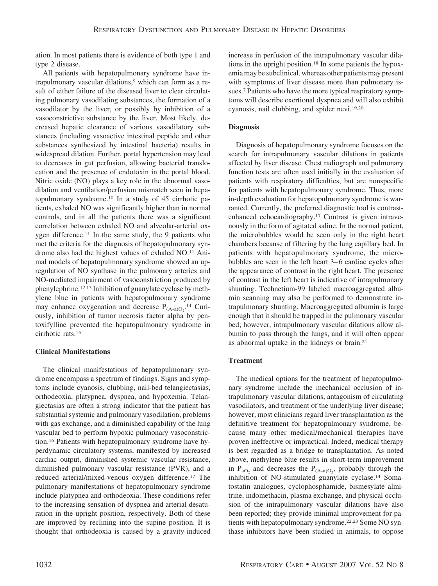ation. In most patients there is evidence of both type 1 and type 2 disease.

All patients with hepatopulmonary syndrome have intrapulmonary vascular dilations,<sup>9</sup> which can form as a result of either failure of the diseased liver to clear circulating pulmonary vasodilating substances, the formation of a vasodilator by the liver, or possibly by inhibition of a vasoconstrictive substance by the liver. Most likely, decreased hepatic clearance of various vasodilatory substances (including vasoactive intestinal peptide and other substances synthesized by intestinal bacteria) results in widespread dilation. Further, portal hypertension may lead to decreases in gut perfusion, allowing bacterial translocation and the presence of endotoxin in the portal blood. Nitric oxide (NO) plays a key role in the abnormal vasodilation and ventilation/perfusion mismatch seen in hepatopulmonary syndrome.10 In a study of 45 cirrhotic patients, exhaled NO was significantly higher than in normal controls, and in all the patients there was a significant correlation between exhaled NO and alveolar-arterial oxygen difference.11 In the same study, the 9 patients who met the criteria for the diagnosis of hepatopulmonary syndrome also had the highest values of exhaled NO.11 Animal models of hepatopulmonary syndrome showed an upregulation of NO synthase in the pulmonary arteries and NO-mediated impairment of vasoconstriction produced by phenylephrine.12,13 Inhibition of guanylate cyclase by methylene blue in patients with hepatopulmonary syndrome may enhance oxygenation and decrease  $P_{(A-a)O_2}$ .<sup>14</sup> Curiously, inhibition of tumor necrosis factor alpha by pentoxifylline prevented the hepatopulmonary syndrome in cirrhotic rats.15

# **Clinical Manifestations**

The clinical manifestations of hepatopulmonary syndrome encompass a spectrum of findings. Signs and symptoms include cyanosis, clubbing, nail-bed telangiectasias, orthodeoxia, platypnea, dyspnea, and hypoxemia. Telangiectasias are often a strong indicator that the patient has substantial systemic and pulmonary vasodilation, problems with gas exchange, and a diminished capability of the lung vascular bed to perform hypoxic pulmonary vasoconstriction.16 Patients with hepatopulmonary syndrome have hyperdynamic circulatory systems, manifested by increased cardiac output, diminished systemic vascular resistance, diminished pulmonary vascular resistance (PVR), and a reduced arterial/mixed-venous oxygen difference.17 The pulmonary manifestations of hepatopulmonary syndrome include platypnea and orthodeoxia. These conditions refer to the increasing sensation of dyspnea and arterial desaturation in the upright position, respectively. Both of these are improved by reclining into the supine position. It is thought that orthodeoxia is caused by a gravity-induced increase in perfusion of the intrapulmonary vascular dilations in the upright position.18 In some patients the hypoxemia may be subclinical, whereas other patients may present with symptoms of liver disease more than pulmonary issues.7 Patients who have the more typical respiratory symptoms will describe exertional dyspnea and will also exhibit cyanosis, nail clubbing, and spider nevi.19,20

# **Diagnosis**

Diagnosis of hepatopulmonary syndrome focuses on the search for intrapulmonary vascular dilations in patients affected by liver disease. Chest radiograph and pulmonary function tests are often used initially in the evaluation of patients with respiratory difficulties, but are nonspecific for patients with hepatopulmonary syndrome. Thus, more in-depth evaluation for hepatopulmonary syndrome is warranted. Currently, the preferred diagnostic tool is contrastenhanced echocardiography.17 Contrast is given intravenously in the form of agitated saline. In the normal patient, the microbubbles would be seen only in the right heart chambers because of filtering by the lung capillary bed. In patients with hepatopulmonary syndrome, the microbubbles are seen in the left heart 3–6 cardiac cycles after the appearance of contrast in the right heart. The presence of contrast in the left heart is indicative of intrapulmonary shunting. Technetium-99 labeled macroaggregated albumin scanning may also be performed to demonstrate intrapulmonary shunting. Macroaggregated albumin is large enough that it should be trapped in the pulmonary vascular bed; however, intrapulmonary vascular dilations allow albumin to pass through the lungs, and it will often appear as abnormal uptake in the kidneys or brain.21

# **Treatment**

The medical options for the treatment of hepatopulmonary syndrome include the mechanical occlusion of intrapulmonary vascular dilations, antagonism of circulating vasodilators, and treatment of the underlying liver disease; however, most clinicians regard liver transplantation as the definitive treatment for hepatopulmonary syndrome, because many other medical/mechanical therapies have proven ineffective or impractical. Indeed, medical therapy is best regarded as a bridge to transplantation. As noted above, methylene blue results in short-term improvement in  $P_{aO_2}$  and decreases the  $P_{(A-a)O_2}$ , probably through the inhibition of NO-stimulated guanylate cyclase.14 Somatostatin analogues, cyclophosphamide, bismesylate almitrine, indomethacin, plasma exchange, and physical occlusion of the intrapulmonary vascular dilations have also been reported; they provide minimal improvement for patients with hepatopulmonary syndrome.22,23 Some NO synthase inhibitors have been studied in animals, to oppose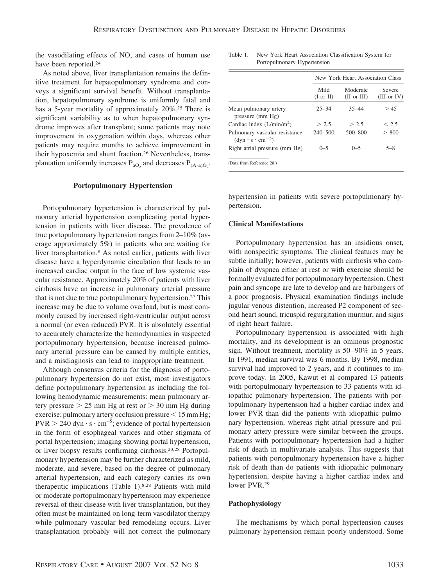the vasodilating effects of NO, and cases of human use have been reported.<sup>24</sup>

As noted above, liver transplantation remains the definitive treatment for hepatopulmonary syndrome and conveys a significant survival benefit. Without transplantation, hepatopulmonary syndrome is uniformly fatal and has a 5-year mortality of approximately 20%.<sup>25</sup> There is significant variability as to when hepatopulmonary syndrome improves after transplant; some patients may note improvement in oxygenation within days, whereas other patients may require months to achieve improvement in their hypoxemia and shunt fraction.26 Nevertheless, transplantation uniformly increases  $P_{aO_2}$  and decreases  $P_{(A-a)O_2}$ .

#### **Portopulmonary Hypertension**

Portopulmonary hypertension is characterized by pulmonary arterial hypertension complicating portal hypertension in patients with liver disease. The prevalence of true portopulmonary hypertension ranges from 2–10% (average approximately 5%) in patients who are waiting for liver transplantation.8 As noted earlier, patients with liver disease have a hyperdynamic circulation that leads to an increased cardiac output in the face of low systemic vascular resistance. Approximately 20% of patients with liver cirrhosis have an increase in pulmonary arterial pressure that is not due to true portopulmonary hypertension.27 This increase may be due to volume overload, but is most commonly caused by increased right-ventricular output across a normal (or even reduced) PVR. It is absolutely essential to accurately characterize the hemodynamics in suspected portopulmonary hypertension, because increased pulmonary arterial pressure can be caused by multiple entities, and a misdiagnosis can lead to inappropriate treatment.

Although consensus criteria for the diagnosis of portopulmonary hypertension do not exist, most investigators define portopulmonary hypertension as including the following hemodynamic measurements: mean pulmonary artery pressure  $> 25$  mm Hg at rest or  $> 30$  mm Hg during exercise; pulmonary artery occlusion pressure  $\leq 15$  mm Hg;  $PVR > 240$  dyn  $\cdot$  s  $\cdot$  cm<sup>-5</sup>; evidence of portal hypertension in the form of esophageal varices and other stigmata of portal hypertension; imaging showing portal hypertension, or liver biopsy results confirming cirrhosis.23,28 Portopulmonary hypertension may be further characterized as mild, moderate, and severe, based on the degree of pulmonary arterial hypertension, and each category carries its own therapeutic implications (Table 1).8,28 Patients with mild or moderate portopulmonary hypertension may experience reversal of their disease with liver transplantation, but they often must be maintained on long-term vasodilator therapy while pulmonary vascular bed remodeling occurs. Liver transplantation probably will not correct the pulmonary

Table 1. New York Heart Association Classification System for Portopulmonary Hypertension

|                                                                | New York Heart Association Class |                                    |                              |  |
|----------------------------------------------------------------|----------------------------------|------------------------------------|------------------------------|--|
|                                                                | Mild<br>$(I \text{ or } II)$     | Moderate<br>$(II \text{ or } III)$ | <b>Severe</b><br>(III or IV) |  |
| Mean pulmonary artery<br>pressure (mm Hg)                      | $25 - 34$                        | $35 - 44$                          | >45                          |  |
| Cardiac index $(L/min/m2)$                                     | > 2.5                            | > 2.5                              | < 2.5                        |  |
| Pulmonary vascular resistance<br>$(dyn \cdot s \cdot cm^{-5})$ | $240 - 500$                      | $500 - 800$                        | > 800                        |  |
| Right atrial pressure (mm Hg)                                  | $0 - 5$                          | $0 - 5$                            | $5 - 8$                      |  |
| (Data from Reference 28.)                                      |                                  |                                    |                              |  |

hypertension in patients with severe portopulmonary hypertension.

#### **Clinical Manifestations**

Portopulmonary hypertension has an insidious onset, with nonspecific symptoms. The clinical features may be subtle initially; however, patients with cirrhosis who complain of dyspnea either at rest or with exercise should be formally evaluated for portopulmonary hypertension. Chest pain and syncope are late to develop and are harbingers of a poor prognosis. Physical examination findings include jugular venous distention, increased P2 component of second heart sound, tricuspid regurgitation murmur, and signs of right heart failure.

Portopulmonary hypertension is associated with high mortality, and its development is an ominous prognostic sign. Without treatment, mortality is 50–90% in 5 years. In 1991, median survival was 6 months. By 1998, median survival had improved to 2 years, and it continues to improve today. In 2005, Kawut et al compared 13 patients with portopulmonary hypertension to 33 patients with idiopathic pulmonary hypertension. The patients with portopulmonary hypertension had a higher cardiac index and lower PVR than did the patients with idiopathic pulmonary hypertension, whereas right atrial pressure and pulmonary artery pressure were similar between the groups. Patients with portopulmonary hypertension had a higher risk of death in multivariate analysis. This suggests that patients with portopulmonary hypertension have a higher risk of death than do patients with idiopathic pulmonary hypertension, despite having a higher cardiac index and lower PVR.29

# **Pathophysiology**

The mechanisms by which portal hypertension causes pulmonary hypertension remain poorly understood. Some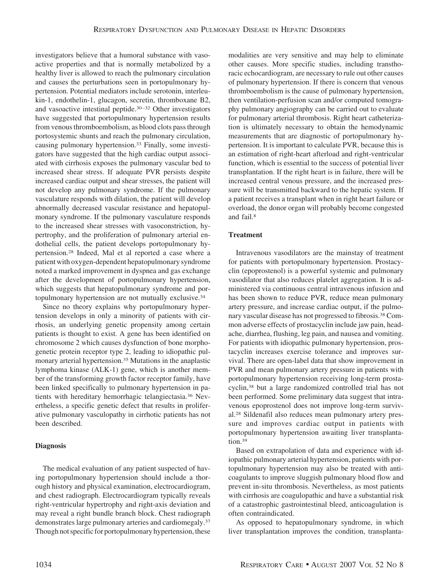investigators believe that a humoral substance with vasoactive properties and that is normally metabolized by a healthy liver is allowed to reach the pulmonary circulation and causes the perturbations seen in portopulmonary hypertension. Potential mediators include serotonin, interleukin-1, endothelin-1, glucagon, secretin, thromboxane B2, and vasoactive intestinal peptide.30–32 Other investigators have suggested that portopulmonary hypertension results from venous thromboembolism, as blood clots pass through portosystemic shunts and reach the pulmonary circulation, causing pulmonary hypertension.33 Finally, some investigators have suggested that the high cardiac output associated with cirrhosis exposes the pulmonary vascular bed to increased shear stress. If adequate PVR persists despite increased cardiac output and shear stresses, the patient will not develop any pulmonary syndrome. If the pulmonary vasculature responds with dilation, the patient will develop abnormally decreased vascular resistance and hepatopulmonary syndrome. If the pulmonary vasculature responds to the increased shear stresses with vasoconstriction, hypertrophy, and the proliferation of pulmonary arterial endothelial cells, the patient develops portopulmonary hypertension.28 Indeed, Mal et al reported a case where a patient with oxygen-dependent hepatopulmonary syndrome noted a marked improvement in dyspnea and gas exchange after the development of portopulmonary hypertension, which suggests that hepatopulmonary syndrome and portopulmonary hypertension are not mutually exclusive.34

Since no theory explains why portopulmonary hypertension develops in only a minority of patients with cirrhosis, an underlying genetic propensity among certain patients is thought to exist. A gene has been identified on chromosome 2 which causes dysfunction of bone morphogenetic protein receptor type 2, leading to idiopathic pulmonary arterial hypertension.35 Mutations in the anaplastic lymphoma kinase (ALK-1) gene, which is another member of the transforming growth factor receptor family, have been linked specifically to pulmonary hypertension in patients with hereditary hemorrhagic telangiectasia.36 Nevertheless, a specific genetic defect that results in proliferative pulmonary vasculopathy in cirrhotic patients has not been described.

# **Diagnosis**

The medical evaluation of any patient suspected of having portopulmonary hypertension should include a thorough history and physical examination, electrocardiogram, and chest radiograph. Electrocardiogram typically reveals right-ventricular hypertrophy and right-axis deviation and may reveal a right bundle branch block. Chest radiograph demonstrates large pulmonary arteries and cardiomegaly.37 Though not specific for portopulmonary hypertension, these modalities are very sensitive and may help to eliminate other causes. More specific studies, including transthoracic echocardiogram, are necessary to rule out other causes of pulmonary hypertension. If there is concern that venous thromboembolism is the cause of pulmonary hypertension, then ventilation-perfusion scan and/or computed tomography pulmonary angiography can be carried out to evaluate for pulmonary arterial thrombosis. Right heart catheterization is ultimately necessary to obtain the hemodynamic measurements that are diagnostic of portopulmonary hypertension. It is important to calculate PVR, because this is an estimation of right-heart afterload and right-ventricular function, which is essential to the success of potential liver transplantation. If the right heart is in failure, there will be increased central venous pressure, and the increased pressure will be transmitted backward to the hepatic system. If a patient receives a transplant when in right heart failure or overload, the donor organ will probably become congested and fail.8

# **Treatment**

Intravenous vasodilators are the mainstay of treatment for patients with portopulmonary hypertension. Prostacyclin (epoprostenol) is a powerful systemic and pulmonary vasodilator that also reduces platelet aggregation. It is administered via continuous central intravenous infusion and has been shown to reduce PVR, reduce mean pulmonary artery pressure, and increase cardiac output, if the pulmonary vascular disease has not progressed to fibrosis.38 Common adverse effects of prostacyclin include jaw pain, headache, diarrhea, flushing, leg pain, and nausea and vomiting. For patients with idiopathic pulmonary hypertension, prostacyclin increases exercise tolerance and improves survival. There are open-label data that show improvement in PVR and mean pulmonary artery pressure in patients with portopulmonary hypertension receiving long-term prostacyclin,38 but a large randomized controlled trial has not been performed. Some preliminary data suggest that intravenous epoprostenol does not improve long-term survival.28 Sildenafil also reduces mean pulmonary artery pressure and improves cardiac output in patients with portopulmonary hypertension awaiting liver transplantation.39

Based on extrapolation of data and experience with idiopathic pulmonary arterial hypertension, patients with portopulmonary hypertension may also be treated with anticoagulants to improve sluggish pulmonary blood flow and prevent in-situ thrombosis. Nevertheless, as most patients with cirrhosis are coagulopathic and have a substantial risk of a catastrophic gastrointestinal bleed, anticoagulation is often contraindicated.

As opposed to hepatopulmonary syndrome, in which liver transplantation improves the condition, transplanta-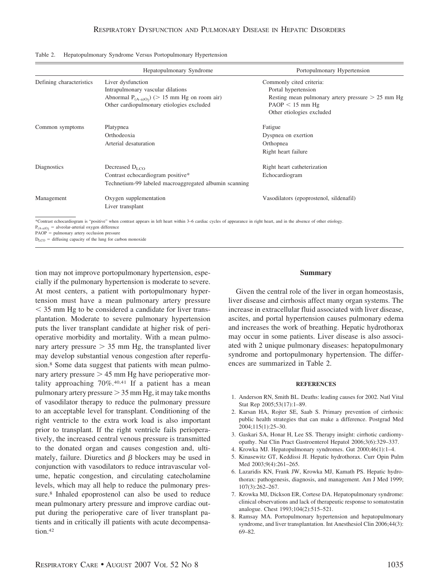|                                                                       | Hepatopulmonary Syndrome                                                                                                                                                 | Portopulmonary Hypertension                         |  |
|-----------------------------------------------------------------------|--------------------------------------------------------------------------------------------------------------------------------------------------------------------------|-----------------------------------------------------|--|
| Defining characteristics                                              | Liver dysfunction                                                                                                                                                        | Commonly cited criteria:                            |  |
|                                                                       | Intrapulmonary vascular dilations                                                                                                                                        | Portal hypertension                                 |  |
|                                                                       | Abnormal $P_{(A-a)O_2}$ (> 15 mm Hg on room air)                                                                                                                         | Resting mean pulmonary artery pressure $> 25$ mm Hg |  |
|                                                                       | Other cardiopulmonary etiologies excluded                                                                                                                                | $PAOP < 15$ mm Hg                                   |  |
|                                                                       |                                                                                                                                                                          | Other etiologies excluded                           |  |
| Common symptoms                                                       | Platypnea                                                                                                                                                                | Fatigue                                             |  |
|                                                                       | Orthodeoxia                                                                                                                                                              | Dyspnea on exertion                                 |  |
|                                                                       | Arterial desaturation                                                                                                                                                    | Orthopnea                                           |  |
|                                                                       |                                                                                                                                                                          | Right heart failure                                 |  |
| Diagnostics                                                           | Decreased $D_{LCO}$                                                                                                                                                      | Right heart catheterization                         |  |
|                                                                       | Contrast echocardiogram positive*                                                                                                                                        | Echocardiogram                                      |  |
|                                                                       | Technetium-99 labeled macroaggregated albumin scanning                                                                                                                   |                                                     |  |
| Management                                                            | Oxygen supplementation                                                                                                                                                   | Vasodilators (epoprostenol, sildenafil)             |  |
|                                                                       | Liver transplant                                                                                                                                                         |                                                     |  |
|                                                                       | *Contrast echocardiogram is "positive" when contrast appears in left heart within 3-6 cardiac cycles of appearance in right heart, and in the absence of other etiology. |                                                     |  |
| $P_{(A-a)O_2}$ = alveolar-arterial oxygen difference<br>$DAOD = m\nu$ |                                                                                                                                                                          |                                                     |  |

|  | Table 2. | Hepatopulmonary Syndrome Versus Portopulmonary Hypertension |  |  |  |  |
|--|----------|-------------------------------------------------------------|--|--|--|--|
|--|----------|-------------------------------------------------------------|--|--|--|--|

PAOP = pulmonary artery occlusion pressure  $D_{\text{LCO}}$  = diffusing capacity of the lung for carbon monoxide

tion may not improve portopulmonary hypertension, especially if the pulmonary hypertension is moderate to severe. At most centers, a patient with portopulmonary hypertension must have a mean pulmonary artery pressure  $<$  35 mm Hg to be considered a candidate for liver transplantation. Moderate to severe pulmonary hypertension puts the liver transplant candidate at higher risk of perioperative morbidity and mortality. With a mean pulmonary artery pressure  $> 35$  mm Hg, the transplanted liver may develop substantial venous congestion after reperfusion.<sup>8</sup> Some data suggest that patients with mean pulmonary artery pressure  $> 45$  mm Hg have perioperative mortality approaching  $70\%$ .<sup>40,41</sup> If a patient has a mean pulmonary artery pressure  $> 35$  mm Hg, it may take months of vasodilator therapy to reduce the pulmonary pressure to an acceptable level for transplant. Conditioning of the right ventricle to the extra work load is also important prior to transplant. If the right ventricle fails perioperatively, the increased central venous pressure is transmitted to the donated organ and causes congestion and, ultimately, failure. Diuretics and  $\beta$  blockers may be used in conjunction with vasodilators to reduce intravascular volume, hepatic congestion, and circulating catecholamine levels, which may all help to reduce the pulmonary pressure.8 Inhaled epoprostenol can also be used to reduce mean pulmonary artery pressure and improve cardiac output during the perioperative care of liver transplant patients and in critically ill patients with acute decompensation.42

#### **Summary**

Given the central role of the liver in organ homeostasis, liver disease and cirrhosis affect many organ systems. The increase in extracellular fluid associated with liver disease, ascites, and portal hypertension causes pulmonary edema and increases the work of breathing. Hepatic hydrothorax may occur in some patients. Liver disease is also associated with 2 unique pulmonary diseases: hepatopulmonary syndrome and portopulmonary hypertension. The differences are summarized in Table 2.

#### **REFERENCES**

- 1. Anderson RN, Smith BL. Deaths: leading causes for 2002. Natl Vital Stat Rep 2005;53(17):1–89.
- 2. Karsan HA, Rojter SE, Saab S. Primary prevention of cirrhosis: public health strategies that can make a difference. Postgrad Med 2004;115(1):25–30.
- 3. Gaskari SA, Honar H, Lee SS. Therapy insight: cirrhotic cardiomyopathy. Nat Clin Pract Gastroenterol Hepatol 2006;3(6):329–337.
- 4. Krowka MJ. Hepatopulmonary syndromes. Gut 2000;46(1):1–4.
- 5. Kinasewitz GT, Keddissi JI. Hepatic hydrothorax. Curr Opin Pulm Med 2003;9(4):261–265.
- 6. Lazaridis KN, Frank JW, Krowka MJ, Kamath PS. Hepatic hydrothorax: pathogenesis, diagnosis, and management. Am J Med 1999; 107(3):262–267.
- 7. Krowka MJ, Dickson ER, Cortese DA. Hepatopulmonary syndrome: clinical observations and lack of therapeutic response to somatostatin analogue. Chest 1993;104(2):515–521.
- 8. Ramsay MA. Portopulmonary hypertension and hepatopulmonary syndrome, and liver transplantation. Int Anesthesiol Clin 2006;44(3): 69–82.